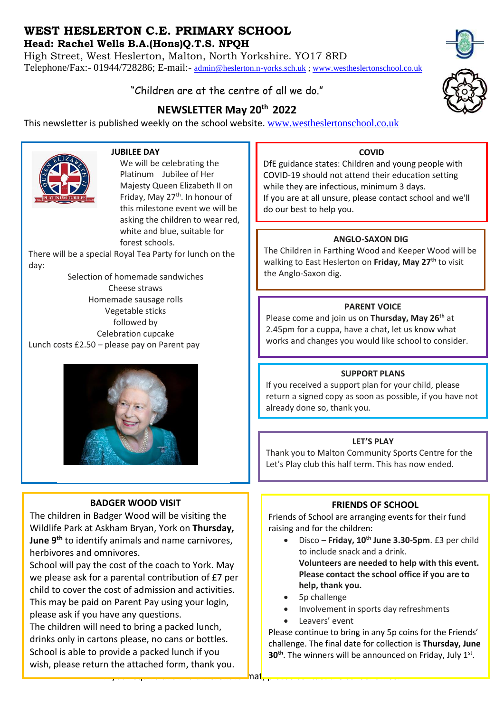# **WEST HESLERTON C.E. PRIMARY SCHOOL**

**Head: Rachel Wells B.A.(Hons)Q.T.S. NPQH**

High Street, West Heslerton, Malton, North Yorkshire. YO17 8RD Telephone/Fax:- 01944/728286; E-mail:- [admin@heslerton.n-yorks.sch.uk](mailto:admin@heslerton.n-yorks.sch.uk) ; [www.westheslertonschool.co.uk](http://www.westheslertonschool.co.uk/)

# "Children are at the centre of all we do."

# **NEWSLETTER May 20th 2022**

This newsletter is published weekly on the school website. [www.westheslertonschool.co.uk](http://www.westheslertonschool.co.uk/)



## **JUBILEE DAY**

We will be celebrating the Platinum Jubilee of Her Majesty Queen Elizabeth II on Friday, May 27<sup>th</sup>. In honour of this milestone event we will be asking the children to wear red, white and blue, suitable for forest schools.

There will be a special Royal Tea Party for lunch on the day:

Selection of homemade sandwiches Cheese straws Homemade sausage rolls Vegetable sticks followed by Celebration cupcake Lunch costs £2.50 – please pay on Parent pay



## **BADGER WOOD VISIT**

The children in Badger Wood will be visiting the Wildlife Park at Askham Bryan, York on **Thursday, June 9th** to identify animals and name carnivores, herbivores and omnivores.

School will pay the cost of the coach to York. May we please ask for a parental contribution of £7 per child to cover the cost of admission and activities. This may be paid on Parent Pay using your login, please ask if you have any questions.

The children will need to bring a packed lunch, drinks only in cartons please, no cans or bottles. School is able to provide a packed lunch if you wish, please return the attached form, thank you.



DfE guidance states: Children and young people with COVID-19 should not attend their education setting while they are infectious, minimum 3 days. If you are at all unsure, please contact school and we'll do our best to help you.

## **ANGLO-SAXON DIG**

The Children in Farthing Wood and Keeper Wood will be walking to East Heslerton on **Friday, May 27th** to visit the Anglo-Saxon dig.

## **PARENT VOICE**

Please come and join us on **Thursday, May 26th** at 2.45pm for a cuppa, have a chat, let us know what works and changes you would like school to consider.

## **SUPPORT PLANS**

If you received a support plan for your child, please return a signed copy as soon as possible, if you have not already done so, thank you.

## **LET'S PLAY**

Thank you to Malton Community Sports Centre for the Let's Play club this half term. This has now ended.

# **FRIENDS OF SCHOOL**

Friends of School are arranging events for their fund raising and for the children:

- Disco **Friday, 10 th June 3.30-5pm**. £3 per child to include snack and a drink. **Volunteers are needed to help with this event. Please contact the school office if you are to help, thank you.**
- 5p challenge
- Involvement in sports day refreshments
- Leavers' event

Please continue to bring in any 5p coins for the Friends' challenge. The final date for collection is **Thursday, June 30<sup>th</sup>**. The winners will be announced on Friday, July 1st.

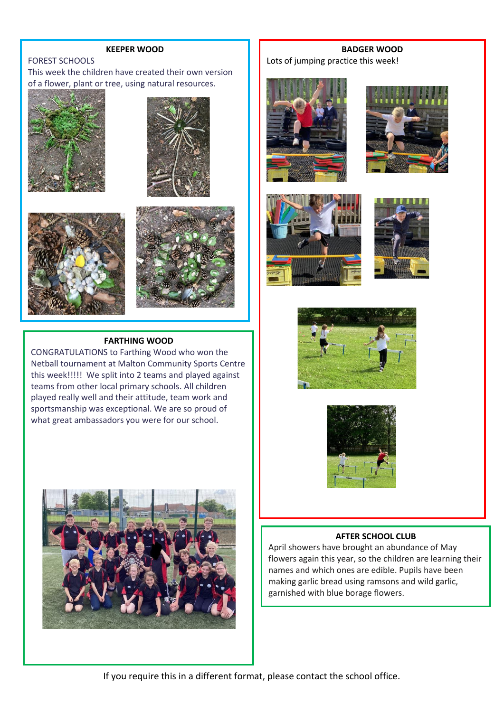#### **KEEPER WOOD**

### FOREST SCHOOLS

This week the children have created their own version of a flower, plant or tree, using natural resources.









#### **FARTHING WOOD**

CONGRATULATIONS to Farthing Wood who won the Netball tournament at Malton Community Sports Centre this week!!!!! We split into 2 teams and played against teams from other local primary schools. All children played really well and their attitude, team work and sportsmanship was exceptional. We are so proud of what great ambassadors you were for our school.



**BADGER WOOD** Lots of jumping practice this week!













### **AFTER SCHOOL CLUB**

April showers have brought an abundance of May flowers again this year, so the children are learning their names and which ones are edible. Pupils have been making garlic bread using ramsons and wild garlic, garnished with blue borage flowers.